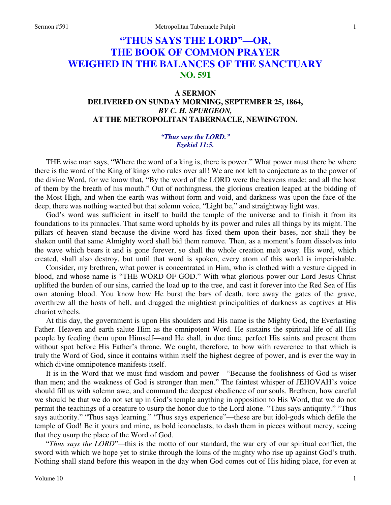# **"THUS SAYS THE LORD"—OR, THE BOOK OF COMMON PRAYER WEIGHED IN THE BALANCES OF THE SANCTUARY NO. 591**

## **A SERMON DELIVERED ON SUNDAY MORNING, SEPTEMBER 25, 1864,**  *BY C. H. SPURGEON,*  **AT THE METROPOLITAN TABERNACLE, NEWINGTON.**

#### *"Thus says the LORD." Ezekiel 11:5.*

 THE wise man says, "Where the word of a king is, there is power." What power must there be where there is the word of the King of kings who rules over all! We are not left to conjecture as to the power of the divine Word, for we know that, "By the word of the LORD were the heavens made; and all the host of them by the breath of his mouth." Out of nothingness, the glorious creation leaped at the bidding of the Most High, and when the earth was without form and void, and darkness was upon the face of the deep, there was nothing wanted but that solemn voice, "Light be," and straightway light was.

 God's word was sufficient in itself to build the temple of the universe and to finish it from its foundations to its pinnacles. That same word upholds by its power and rules all things by its might. The pillars of heaven stand because the divine word has fixed them upon their bases, nor shall they be shaken until that same Almighty word shall bid them remove. Then, as a moment's foam dissolves into the wave which bears it and is gone forever, so shall the whole creation melt away. His word, which created, shall also destroy, but until that word is spoken, every atom of this world is imperishable.

 Consider, my brethren, what power is concentrated in Him, who is clothed with a vesture dipped in blood, and whose name is "THE WORD OF GOD." With what glorious power our Lord Jesus Christ uplifted the burden of our sins, carried the load up to the tree, and cast it forever into the Red Sea of His own atoning blood. You know how He burst the bars of death, tore away the gates of the grave, overthrew all the hosts of hell, and dragged the mightiest principalities of darkness as captives at His chariot wheels.

 At this day, the government is upon His shoulders and His name is the Mighty God, the Everlasting Father. Heaven and earth salute Him as the omnipotent Word. He sustains the spiritual life of all His people by feeding them upon Himself—and He shall, in due time, perfect His saints and present them without spot before His Father's throne. We ought, therefore, to bow with reverence to that which is truly the Word of God, since it contains within itself the highest degree of power, and is ever the way in which divine omnipotence manifests itself.

 It is in the Word that we must find wisdom and power—"Because the foolishness of God is wiser than men; and the weakness of God is stronger than men." The faintest whisper of JEHOVAH's voice should fill us with solemn awe, and command the deepest obedience of our souls. Brethren, how careful we should be that we do not set up in God's temple anything in opposition to His Word, that we do not permit the teachings of a creature to usurp the honor due to the Lord alone. "Thus says antiquity." "Thus says authority." "Thus says learning." "Thus says experience"—these are but idol-gods which defile the temple of God! Be it yours and mine, as bold iconoclasts, to dash them in pieces without mercy, seeing that they usurp the place of the Word of God.

"*Thus says the LORD*"*—*this is the motto of our standard, the war cry of our spiritual conflict, the sword with which we hope yet to strike through the loins of the mighty who rise up against God's truth. Nothing shall stand before this weapon in the day when God comes out of His hiding place, for even at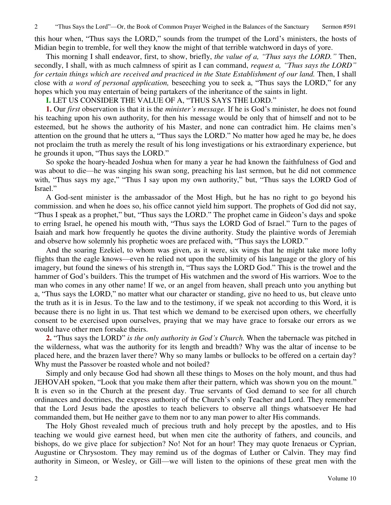2 "Thus Says the Lord"—Or, the Book of Common Prayer Weighed in the Balances of the Sanctuary Sermon #591

this hour when, "Thus says the LORD," sounds from the trumpet of the Lord's ministers, the hosts of Midian begin to tremble, for well they know the might of that terrible watchword in days of yore.

 This morning I shall endeavor, first, to show, briefly, *the value of a, "Thus says the LORD."* Then, secondly, I shall, with as much calmness of spirit as I can command, *request a, "Thus says the LORD" for certain things which are received and practiced in the State Establishment of our land.* Then, I shall close with *a word of personal application,* beseeching you to seek a, "Thus says the LORD," for any hopes which you may entertain of being partakers of the inheritance of the saints in light.

#### **I.** LET US CONSIDER THE VALUE OF A, "THUS SAYS THE LORD."

**1.** Our *first* observation is that it is the *minister's message.* If he is God's minister, he does not found his teaching upon his own authority, for then his message would be only that of himself and not to be esteemed, but he shows the authority of his Master, and none can contradict him. He claims men's attention on the ground that he utters a, "Thus says the LORD." No matter how aged he may be, he does not proclaim the truth as merely the result of his long investigations or his extraordinary experience, but he grounds it upon, "Thus says the LORD."

 So spoke the hoary-headed Joshua when for many a year he had known the faithfulness of God and was about to die—he was singing his swan song, preaching his last sermon, but he did not commence with, "Thus says my age," "Thus I say upon my own authority," but, "Thus says the LORD God of Israel."

 A God-sent minister is the ambassador of the Most High, but he has no right to go beyond his commission. and when he does so, his office cannot yield him support. The prophets of God did not say, "Thus I speak as a prophet," but, "Thus says the LORD." The prophet came in Gideon's days and spoke to erring Israel, he opened his mouth with, "Thus says the LORD God of Israel." Turn to the pages of Isaiah and mark how frequently he quotes the divine authority. Study the plaintive words of Jeremiah and observe how solemnly his prophetic woes are prefaced with, "Thus says the LORD."

 And the soaring Ezekiel, to whom was given, as it were, six wings that he might take more lofty flights than the eagle knows—even he relied not upon the sublimity of his language or the glory of his imagery, but found the sinews of his strength in, "Thus says the LORD God." This is the trowel and the hammer of God's builders. This the trumpet of His watchmen and the sword of His warriors. Woe to the man who comes in any other name! If we, or an angel from heaven, shall preach unto you anything but a, "Thus says the LORD," no matter what our character or standing, give no heed to us, but cleave unto the truth as it is in Jesus. To the law and to the testimony, if we speak not according to this Word, it is because there is no light in us. That test which we demand to be exercised upon others, we cheerfully consent to be exercised upon ourselves, praying that we may have grace to forsake our errors as we would have other men forsake theirs.

**2.** "Thus says the LORD" *is the only authority in God's Church.* When the tabernacle was pitched in the wilderness, what was the authority for its length and breadth? Why was the altar of incense to be placed here, and the brazen laver there? Why so many lambs or bullocks to be offered on a certain day? Why must the Passover be roasted whole and not boiled?

 Simply and only because God had shown all these things to Moses on the holy mount, and thus had JEHOVAH spoken, "Look that you make them after their pattern, which was shown you on the mount." It is even so in the Church at the present day. True servants of God demand to see for all church ordinances and doctrines, the express authority of the Church's only Teacher and Lord. They remember that the Lord Jesus bade the apostles to teach believers to observe all things whatsoever He had commanded them, but He neither gave to them nor to any man power to alter His commands.

 The Holy Ghost revealed much of precious truth and holy precept by the apostles, and to His teaching we would give earnest heed, but when men cite the authority of fathers, and councils, and bishops, do we give place for subjection? No! Not for an hour! They may quote Irenaeus or Cyprian, Augustine or Chrysostom. They may remind us of the dogmas of Luther or Calvin. They may find authority in Simeon, or Wesley, or Gill—we will listen to the opinions of these great men with the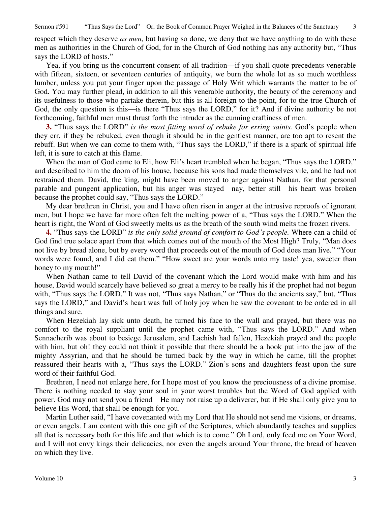Sermon #591 "Thus Says the Lord"—Or, the Book of Common Prayer Weighed in the Balances of the Sanctuary 3

respect which they deserve *as men,* but having so done, we deny that we have anything to do with these men as authorities in the Church of God, for in the Church of God nothing has any authority but, "Thus says the LORD of hosts."

 Yea, if you bring us the concurrent consent of all tradition—if you shall quote precedents venerable with fifteen, sixteen, or seventeen centuries of antiquity, we burn the whole lot as so much worthless lumber, unless you put your finger upon the passage of Holy Writ which warrants the matter to be of God. You may further plead, in addition to all this venerable authority, the beauty of the ceremony and its usefulness to those who partake therein, but this is all foreign to the point, for to the true Church of God, the only question is this—is there "Thus says the LORD," for it? And if divine authority be not forthcoming, faithful men must thrust forth the intruder as the cunning craftiness of men.

**3.** "Thus says the LORD" *is the most fitting word of rebuke for erring saints.* God's people when they err, if they be rebuked, even though it should be in the gentlest manner, are too apt to resent the rebuff. But when we can come to them with, "Thus says the LORD," if there is a spark of spiritual life left, it is sure to catch at this flame.

When the man of God came to Eli, how Eli's heart trembled when he began, "Thus says the LORD," and described to him the doom of his house, because his sons had made themselves vile, and he had not restrained them. David, the king, might have been moved to anger against Nathan, for that personal parable and pungent application, but his anger was stayed—nay, better still—his heart was broken because the prophet could say, "Thus says the LORD."

 My dear brethren in Christ, you and I have often risen in anger at the intrusive reproofs of ignorant men, but I hope we have far more often felt the melting power of a, "Thus says the LORD." When the heart is right, the Word of God sweetly melts us as the breath of the south wind melts the frozen rivers.

**4.** "Thus says the LORD" *is the only solid ground of comfort to God's people.* Where can a child of God find true solace apart from that which comes out of the mouth of the Most High? Truly, "Man does not live by bread alone, but by every word that proceeds out of the mouth of God does man live." "Your words were found, and I did eat them." "How sweet are your words unto my taste! yea, sweeter than honey to my mouth!"

 When Nathan came to tell David of the covenant which the Lord would make with him and his house, David would scarcely have believed so great a mercy to be really his if the prophet had not begun with, "Thus says the LORD." It was not, "Thus says Nathan," or "Thus do the ancients say," but, "Thus says the LORD," and David's heart was full of holy joy when he saw the covenant to be ordered in all things and sure.

 When Hezekiah lay sick unto death, he turned his face to the wall and prayed, but there was no comfort to the royal suppliant until the prophet came with, "Thus says the LORD." And when Sennacherib was about to besiege Jerusalem, and Lachish had fallen, Hezekiah prayed and the people with him, but oh! they could not think it possible that there should be a hook put into the jaw of the mighty Assyrian, and that he should be turned back by the way in which he came, till the prophet reassured their hearts with a, "Thus says the LORD." Zion's sons and daughters feast upon the sure word of their faithful God.

 Brethren, I need not enlarge here, for I hope most of you know the preciousness of a divine promise. There is nothing needed to stay your soul in your worst troubles but the Word of God applied with power. God may not send you a friend—He may not raise up a deliverer, but if He shall only give you to believe His Word, that shall be enough for you.

 Martin Luther said, "I have covenanted with my Lord that He should not send me visions, or dreams, or even angels. I am content with this one gift of the Scriptures, which abundantly teaches and supplies all that is necessary both for this life and that which is to come." Oh Lord, only feed me on Your Word, and I will not envy kings their delicacies, nor even the angels around Your throne, the bread of heaven on which they live.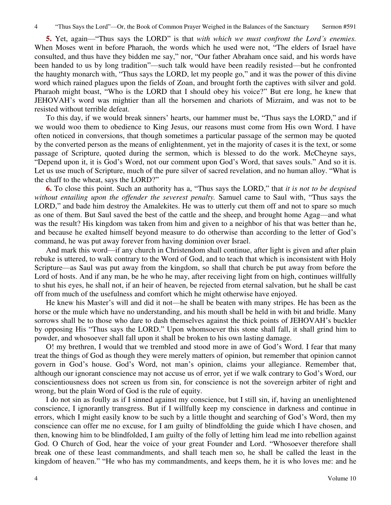**5.** Yet, again—"Thus says the LORD" is that *with which we must confront the Lord's enemies.* When Moses went in before Pharaoh, the words which he used were not, "The elders of Israel have consulted, and thus have they bidden me say," nor, "Our father Abraham once said, and his words have been handed to us by long tradition"—such talk would have been readily resisted—but he confronted the haughty monarch with, "Thus says the LORD, let my people go," and it was the power of this divine word which rained plagues upon the fields of Zoan, and brought forth the captives with silver and gold. Pharaoh might boast, "Who is the LORD that I should obey his voice?" But ere long, he knew that JEHOVAH's word was mightier than all the horsemen and chariots of Mizraim, and was not to be resisted without terrible defeat.

 To this day, if we would break sinners' hearts, our hammer must be, "Thus says the LORD," and if we would woo them to obedience to King Jesus, our reasons must come from His own Word. I have often noticed in conversions, that though sometimes a particular passage of the sermon may be quoted by the converted person as the means of enlightenment, yet in the majority of cases it is the text, or some passage of Scripture, quoted during the sermon, which is blessed to do the work. McCheyne says, "Depend upon it, it is God's Word, not our comment upon God's Word, that saves souls." And so it is. Let us use much of Scripture, much of the pure silver of sacred revelation, and no human alloy. "What is the chaff to the wheat, says the LORD?"

**6.** To close this point. Such an authority has a, "Thus says the LORD," that *it is not to be despised without entailing upon the offender the severest penalty.* Samuel came to Saul with, "Thus says the LORD," and bade him destroy the Amalekites. He was to utterly cut them off and not to spare so much as one of them. But Saul saved the best of the cattle and the sheep, and brought home Agag—and what was the result? His kingdom was taken from him and given to a neighbor of his that was better than he, and because he exalted himself beyond measure to do otherwise than according to the letter of God's command, he was put away forever from having dominion over Israel.

 And mark this word—if any church in Christendom shall continue, after light is given and after plain rebuke is uttered, to walk contrary to the Word of God, and to teach that which is inconsistent with Holy Scripture—as Saul was put away from the kingdom, so shall that church be put away from before the Lord of hosts. And if any man, be he who he may, after receiving light from on high, continues willfully to shut his eyes, he shall not, if an heir of heaven, be rejected from eternal salvation, but he shall be cast off from much of the usefulness and comfort which he might otherwise have enjoyed.

 He knew his Master's will and did it not—he shall be beaten with many stripes. He has been as the horse or the mule which have no understanding, and his mouth shall be held in with bit and bridle. Many sorrows shall be to those who dare to dash themselves against the thick points of JEHOVAH's buckler by opposing His "Thus says the LORD." Upon whomsoever this stone shall fall, it shall grind him to powder, and whosoever shall fall upon it shall be broken to his own lasting damage.

O! my brethren, I would that we trembled and stood more in awe of God's Word. I fear that many treat the things of God as though they were merely matters of opinion, but remember that opinion cannot govern in God's house. God's Word, not man's opinion, claims your allegiance. Remember that, although our ignorant conscience may not accuse us of error, yet if we walk contrary to God's Word, our conscientiousness does not screen us from sin, for conscience is not the sovereign arbiter of right and wrong, but the plain Word of God is the rule of equity.

 I do not sin as foully as if I sinned against my conscience, but I still sin, if, having an unenlightened conscience, I ignorantly transgress. But if I willfully keep my conscience in darkness and continue in errors, which I might easily know to be such by a little thought and searching of God's Word, then my conscience can offer me no excuse, for I am guilty of blindfolding the guide which I have chosen, and then, knowing him to be blindfolded, I am guilty of the folly of letting him lead me into rebellion against God. O Church of God, hear the voice of your great Founder and Lord. "Whosoever therefore shall break one of these least commandments, and shall teach men so, he shall be called the least in the kingdom of heaven." "He who has my commandments, and keeps them, he it is who loves me: and he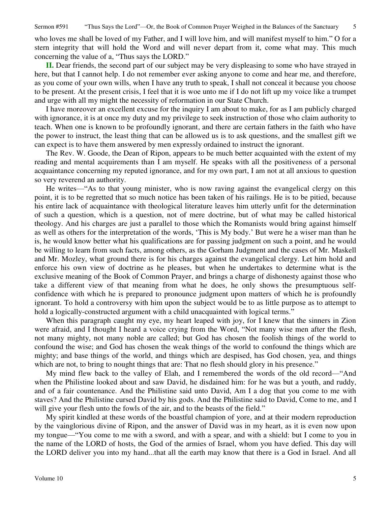who loves me shall be loved of my Father, and I will love him, and will manifest myself to him." O for a stern integrity that will hold the Word and will never depart from it, come what may. This much concerning the value of a, "Thus says the LORD."

**II.** Dear friends, the second part of our subject may be very displeasing to some who have strayed in here, but that I cannot help. I do not remember ever asking anyone to come and hear me, and therefore, as you come of your own wills, when I have any truth to speak, I shall not conceal it because you choose to be present. At the present crisis, I feel that it is woe unto me if I do not lift up my voice like a trumpet and urge with all my might the necessity of reformation in our State Church.

 I have moreover an excellent excuse for the inquiry I am about to make, for as I am publicly charged with ignorance, it is at once my duty and my privilege to seek instruction of those who claim authority to teach. When one is known to be profoundly ignorant, and there are certain fathers in the faith who have the power to instruct, the least thing that can be allowed us is to ask questions, and the smallest gift we can expect is to have them answered by men expressly ordained to instruct the ignorant.

 The Rev. W. Goode, the Dean of Ripon, appears to be much better acquainted with the extent of my reading and mental acquirements than I am myself. He speaks with all the positiveness of a personal acquaintance concerning my reputed ignorance, and for my own part, I am not at all anxious to question so very reverend an authority.

 He writes—"As to that young minister, who is now raving against the evangelical clergy on this point, it is to be regretted that so much notice has been taken of his railings. He is to be pitied, because his entire lack of acquaintance with theological literature leaves him utterly unfit for the determination of such a question, which is a question, not of mere doctrine, but of what may be called historical theology. And his charges are just a parallel to those which the Romanists would bring against himself as well as others for the interpretation of the words, 'This is My body.' But were he a wiser man than he is, he would know better what his qualifications are for passing judgment on such a point, and he would be willing to learn from such facts, among others, as the Gorham Judgment and the cases of Mr. Maskell and Mr. Mozley, what ground there is for his charges against the evangelical clergy. Let him hold and enforce his own view of doctrine as he pleases, but when he undertakes to determine what is the exclusive meaning of the Book of Common Prayer, and brings a charge of dishonesty against those who take a different view of that meaning from what he does, he only shows the presumptuous selfconfidence with which he is prepared to pronounce judgment upon matters of which he is profoundly ignorant. To hold a controversy with him upon the subject would be to as little purpose as to attempt to hold a logically-constructed argument with a child unacquainted with logical terms."

When this paragraph caught my eye, my heart leaped with joy, for I knew that the sinners in Zion were afraid, and I thought I heard a voice crying from the Word, "Not many wise men after the flesh, not many mighty, not many noble are called; but God has chosen the foolish things of the world to confound the wise; and God has chosen the weak things of the world to confound the things which are mighty; and base things of the world, and things which are despised, has God chosen, yea, and things which are not, to bring to nought things that are: That no flesh should glory in his presence."

 My mind flew back to the valley of Elah, and I remembered the words of the old record—"And when the Philistine looked about and saw David, he disdained him: for he was but a youth, and ruddy, and of a fair countenance. And the Philistine said unto David, Am I a dog that you come to me with staves? And the Philistine cursed David by his gods. And the Philistine said to David, Come to me, and I will give your flesh unto the fowls of the air, and to the beasts of the field."

 My spirit kindled at these words of the boastful champion of yore, and at their modern reproduction by the vainglorious divine of Ripon, and the answer of David was in my heart, as it is even now upon my tongue—"You come to me with a sword, and with a spear, and with a shield: but I come to you in the name of the LORD of hosts, the God of the armies of Israel, whom you have defied. This day will the LORD deliver you into my hand...that all the earth may know that there is a God in Israel. And all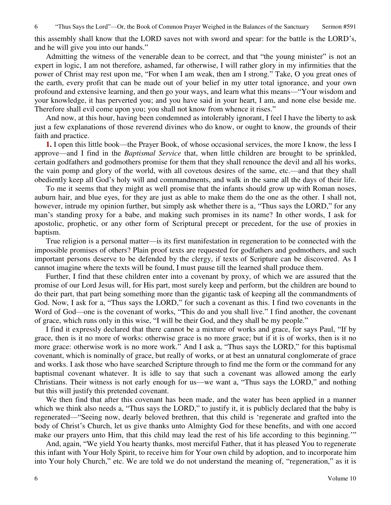this assembly shall know that the LORD saves not with sword and spear: for the battle is the LORD's, and he will give you into our hands."

 Admitting the witness of the venerable dean to be correct, and that "the young minister" is not an expert in logic, I am not therefore, ashamed, far otherwise, I will rather glory in my infirmities that the power of Christ may rest upon me, "For when I am weak, then am I strong." Take, O you great ones of the earth, every profit that can be made out of your belief in my utter total ignorance, and your own profound and extensive learning, and then go your ways, and learn what this means—"Your wisdom and your knowledge, it has perverted you; and you have said in your heart, I am, and none else beside me. Therefore shall evil come upon you; you shall not know from whence it rises."

 And now, at this hour, having been condemned as intolerably ignorant, I feel I have the liberty to ask just a few explanations of those reverend divines who do know, or ought to know, the grounds of their faith and practice.

**1.** I open this little book—the Prayer Book, of whose occasional services, the more I know, the less I approve—and I find in the *Baptismal Service* that, when little children are brought to be sprinkled, certain godfathers and godmothers promise for them that they shall renounce the devil and all his works, the vain pomp and glory of the world, with all covetous desires of the same, etc.—and that they shall obediently keep all God's holy will and commandments, and walk in the same all the days of their life.

 To me it seems that they might as well promise that the infants should grow up with Roman noses, auburn hair, and blue eyes, for they are just as able to make them do the one as the other. I shall not, however, intrude my opinion further, but simply ask whether there is a, "Thus says the LORD," for any man's standing proxy for a babe, and making such promises in its name? In other words, I ask for apostolic, prophetic, or any other form of Scriptural precept or precedent, for the use of proxies in baptism.

 True religion is a personal matter—is its first manifestation in regeneration to be connected with the impossible promises of others? Plain proof texts are requested for godfathers and godmothers, and such important persons deserve to be defended by the clergy, if texts of Scripture can be discovered. As I cannot imagine where the texts will be found, I must pause till the learned shall produce them.

 Further, I find that these children enter into a covenant by proxy, of which we are assured that the promise of our Lord Jesus will, for His part, most surely keep and perform, but the children are bound to do their part, that part being something more than the gigantic task of keeping all the commandments of God. Now, I ask for a, "Thus says the LORD," for such a covenant as this. I find two covenants in the Word of God—one is the covenant of works, "This do and you shall live." I find another, the covenant of grace, which runs only in this wise, "I will be their God, and they shall be my people."

 I find it expressly declared that there cannot be a mixture of works and grace, for says Paul, "If by grace, then is it no more of works: otherwise grace is no more grace; but if it is of works, then is it no more grace: otherwise work is no more work." And I ask a, "Thus says the LORD," for this baptismal covenant, which is nominally of grace, but really of works, or at best an unnatural conglomerate of grace and works. I ask those who have searched Scripture through to find me the form or the command for any baptismal covenant whatever. It is idle to say that such a covenant was allowed among the early Christians. Their witness is not early enough for us—we want a, "Thus says the LORD," and nothing but this will justify this pretended covenant.

 We then find that after this covenant has been made, and the water has been applied in a manner which we think also needs a, "Thus says the LORD," to justify it, it is publicly declared that the baby is regenerated—"Seeing now, dearly beloved brethren, that this child is 'regenerate and grafted into the body of Christ's Church, let us give thanks unto Almighty God for these benefits, and with one accord make our prayers unto Him, that this child may lead the rest of his life according to this beginning.'"

 And, again, "We yield You hearty thanks, most merciful Father, that it has pleased You to regenerate this infant with Your Holy Spirit, to receive him for Your own child by adoption, and to incorporate him into Your holy Church," etc. We are told we do not understand the meaning of, "regeneration," as it is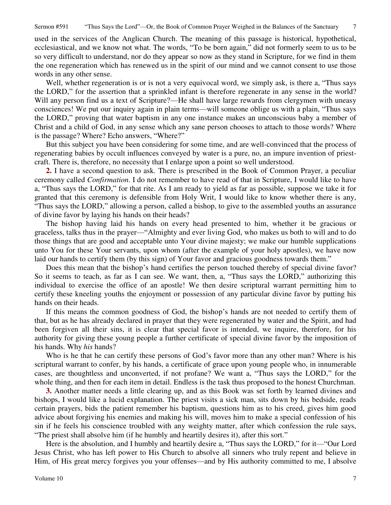used in the services of the Anglican Church. The meaning of this passage is historical, hypothetical, ecclesiastical, and we know not what. The words, "To be born again," did not formerly seem to us to be so very difficult to understand, nor do they appear so now as they stand in Scripture, for we find in them the one regeneration which has renewed us in the spirit of our mind and we cannot consent to use those words in any other sense.

Well, whether regeneration is or is not a very equivocal word, we simply ask, is there a, "Thus says the LORD," for the assertion that a sprinkled infant is therefore regenerate in any sense in the world? Will any person find us a text of Scripture?—He shall have large rewards from clergymen with uneasy consciences! We put our inquiry again in plain terms—will someone oblige us with a plain, "Thus says the LORD," proving that water baptism in any one instance makes an unconscious baby a member of Christ and a child of God, in any sense which any sane person chooses to attach to those words? Where is the passage? Where? Echo answers, "Where?"

 But this subject you have been considering for some time, and are well-convinced that the process of regenerating babies by occult influences conveyed by water is a pure, no, an impure invention of priestcraft. There is, therefore, no necessity that I enlarge upon a point so well understood.

**2.** I have a second question to ask. There is prescribed in the Book of Common Prayer, a peculiar ceremony called *Confirmation*. I do not remember to have read of that in Scripture, I would like to have a, "Thus says the LORD," for that rite. As I am ready to yield as far as possible, suppose we take it for granted that this ceremony is defensible from Holy Writ, I would like to know whether there is any, "Thus says the LORD," allowing a person, called a bishop, to give to the assembled youths an assurance of divine favor by laying his hands on their heads?

 The bishop having laid his hands on every head presented to him, whether it be gracious or graceless, talks thus in the prayer—"Almighty and ever living God, who makes us both to will and to do those things that are good and acceptable unto Your divine majesty; we make our humble supplications unto You for these Your servants, upon whom (after the example of your holy apostles), we have now laid our hands to certify them (by this sign) of Your favor and gracious goodness towards them."

 Does this mean that the bishop's hand certifies the person touched thereby of special divine favor? So it seems to teach, as far as I can see. We want, then, a, "Thus says the LORD," authorizing this individual to exercise the office of an apostle! We then desire scriptural warrant permitting him to certify these kneeling youths the enjoyment or possession of any particular divine favor by putting his hands on their heads.

 If this means the common goodness of God, the bishop's hands are not needed to certify them of that, but as he has already declared in prayer that they were regenerated by water and the Spirit, and had been forgiven all their sins, it is clear that special favor is intended, we inquire, therefore, for his authority for giving these young people a further certificate of special divine favor by the imposition of his hands. Why *his* hands?

 Who is he that he can certify these persons of God's favor more than any other man? Where is his scriptural warrant to confer, by his hands, a certificate of grace upon young people who, in innumerable cases, are thoughtless and unconverted, if not profane? We want a, "Thus says the LORD," for the whole thing, and then for each item in detail. Endless is the task thus proposed to the honest Churchman.

**3.** Another matter needs a little clearing up, and as this Book was set forth by learned divines and bishops, I would like a lucid explanation. The priest visits a sick man, sits down by his bedside, reads certain prayers, bids the patient remember his baptism, questions him as to his creed, gives him good advice about forgiving his enemies and making his will, moves him to make a special confession of his sin if he feels his conscience troubled with any weighty matter, after which confession the rule says, "The priest shall absolve him (if he humbly and heartily desires it), after this sort."

 Here is the absolution, and I humbly and heartily desire a, "Thus says the LORD," for it—"Our Lord Jesus Christ, who has left power to His Church to absolve all sinners who truly repent and believe in Him, of His great mercy forgives you your offenses—and by His authority committed to me, I absolve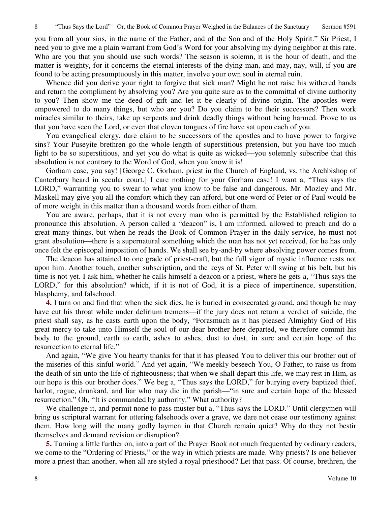you from all your sins, in the name of the Father, and of the Son and of the Holy Spirit." Sir Priest, I need you to give me a plain warrant from God's Word for your absolving my dying neighbor at this rate. Who are you that you should use such words? The season is solemn, it is the hour of death, and the matter is weighty, for it concerns the eternal interests of the dying man, and may, nay, will, if you are found to be acting presumptuously in this matter, involve your own soul in eternal ruin.

 Whence did you derive your right to forgive that sick man? Might he not raise his withered hands and return the compliment by absolving you? Are you quite sure as to the committal of divine authority to you? Then show me the deed of gift and let it be clearly of divine origin. The apostles were empowered to do many things, but who are you? Do you claim to be their successors? Then work miracles similar to theirs, take up serpents and drink deadly things without being harmed. Prove to us that you have seen the Lord, or even that cloven tongues of fire have sat upon each of you.

 You evangelical clergy, dare claim to be successors of the apostles and to have power to forgive sins? Your Puseyite brethren go the whole length of superstitious pretension, but you have too much light to be so superstitious, and yet you do what is quite as wicked—you solemnly subscribe that this absolution is not contrary to the Word of God, when you know it is!

 Gorham case, you say! [George C. Gorham, priest in the Church of England, vs. the Archbishop of Canterbury heard in secular court.] I care nothing for your Gorham case! I want a, "Thus says the LORD," warranting you to swear to what you know to be false and dangerous. Mr. Mozley and Mr. Maskell may give you all the comfort which they can afford, but one word of Peter or of Paul would be of more weight in this matter than a thousand words from either of them.

 You are aware, perhaps, that it is not every man who is permitted by the Established religion to pronounce this absolution. A person called a "deacon" is, I am informed, allowed to preach and do a great many things, but when he reads the Book of Common Prayer in the daily service, he must not grant absolution—there is a supernatural something which the man has not yet received, for he has only once felt the episcopal imposition of hands. We shall see by-and-by where absolving power comes from.

 The deacon has attained to one grade of priest-craft, but the full vigor of mystic influence rests not upon him. Another touch, another subscription, and the keys of St. Peter will swing at his belt, but his time is not yet. I ask him, whether he calls himself a deacon or a priest, where he gets a, "Thus says the LORD," for this absolution? which, if it is not of God, it is a piece of impertinence, superstition, blasphemy, and falsehood.

**4.** I turn on and find that when the sick dies, he is buried in consecrated ground, and though he may have cut his throat while under delirium tremens—if the jury does not return a verdict of suicide, the priest shall say, as he casts earth upon the body, "Forasmuch as it has pleased Almighty God of His great mercy to take unto Himself the soul of our dear brother here departed, we therefore commit his body to the ground, earth to earth, ashes to ashes, dust to dust, in sure and certain hope of the resurrection to eternal life."

 And again, "We give You hearty thanks for that it has pleased You to deliver this our brother out of the miseries of this sinful world." And yet again, "We meekly beseech You, O Father, to raise us from the death of sin unto the life of righteousness; that when we shall depart this life, we may rest in Him, as our hope is this our brother does." We beg a, "Thus says the LORD," for burying every baptized thief, harlot, rogue, drunkard, and liar who may die in the parish—"in sure and certain hope of the blessed resurrection." Oh, "It is commanded by authority." What authority?

We challenge it, and permit none to pass muster but a, "Thus says the LORD." Until clergymen will bring us scriptural warrant for uttering falsehoods over a grave, we dare not cease our testimony against them. How long will the many godly laymen in that Church remain quiet? Why do they not bestir themselves and demand revision or disruption?

**5.** Turning a little further on, into a part of the Prayer Book not much frequented by ordinary readers, we come to the "Ordering of Priests," or the way in which priests are made. Why priests? Is one believer more a priest than another, when all are styled a royal priesthood? Let that pass. Of course, brethren, the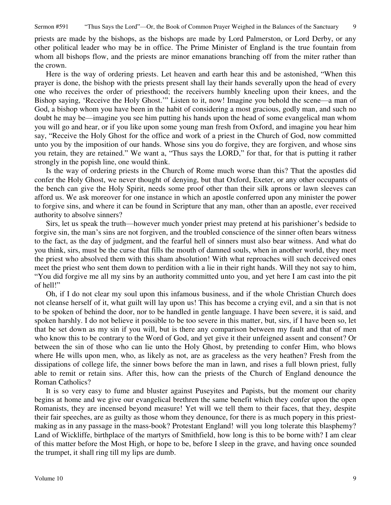priests are made by the bishops, as the bishops are made by Lord Palmerston, or Lord Derby, or any other political leader who may be in office. The Prime Minister of England is the true fountain from whom all bishops flow, and the priests are minor emanations branching off from the miter rather than the crown.

 Here is the way of ordering priests. Let heaven and earth hear this and be astonished, "When this prayer is done, the bishop with the priests present shall lay their hands severally upon the head of every one who receives the order of priesthood; the receivers humbly kneeling upon their knees, and the Bishop saying, 'Receive the Holy Ghost.'" Listen to it, now! Imagine you behold the scene—a man of God, a bishop whom you have been in the habit of considering a most gracious, godly man, and such no doubt he may be—imagine you see him putting his hands upon the head of some evangelical man whom you will go and hear, or if you like upon some young man fresh from Oxford, and imagine you hear him say, "Receive the Holy Ghost for the office and work of a priest in the Church of God, now committed unto you by the imposition of our hands. Whose sins you do forgive, they are forgiven, and whose sins you retain, they are retained." We want a, "Thus says the LORD," for that, for that is putting it rather strongly in the popish line, one would think.

 Is the way of ordering priests in the Church of Rome much worse than this? That the apostles did confer the Holy Ghost, we never thought of denying, but that Oxford, Exeter, or any other occupants of the bench can give the Holy Spirit, needs some proof other than their silk aprons or lawn sleeves can afford us. We ask moreover for one instance in which an apostle conferred upon any minister the power to forgive sins, and where it can be found in Scripture that any man, other than an apostle, ever received authority to absolve sinners?

 Sirs, let us speak the truth—however much yonder priest may pretend at his parishioner's bedside to forgive sin, the man's sins are not forgiven, and the troubled conscience of the sinner often bears witness to the fact, as the day of judgment, and the fearful hell of sinners must also bear witness. And what do you think, sirs, must be the curse that fills the mouth of damned souls, when in another world, they meet the priest who absolved them with this sham absolution! With what reproaches will such deceived ones meet the priest who sent them down to perdition with a lie in their right hands. Will they not say to him, "You did forgive me all my sins by an authority committed unto you, and yet here I am cast into the pit of hell!"

 Oh, if I do not clear my soul upon this infamous business, and if the whole Christian Church does not cleanse herself of it, what guilt will lay upon us! This has become a crying evil, and a sin that is not to be spoken of behind the door, nor to be handled in gentle language. I have been severe, it is said, and spoken harshly. I do not believe it possible to be too severe in this matter, but, sirs, if I have been so, let that be set down as my sin if you will, but is there any comparison between my fault and that of men who know this to be contrary to the Word of God, and yet give it their unfeigned assent and consent? Or between the sin of those who can lie unto the Holy Ghost, by pretending to confer Him, who blows where He wills upon men, who, as likely as not, are as graceless as the very heathen? Fresh from the dissipations of college life, the sinner bows before the man in lawn, and rises a full blown priest, fully able to remit or retain sins. After this, how can the priests of the Church of England denounce the Roman Catholics?

 It is so very easy to fume and bluster against Puseyites and Papists, but the moment our charity begins at home and we give our evangelical brethren the same benefit which they confer upon the open Romanists, they are incensed beyond measure! Yet will we tell them to their faces, that they, despite their fair speeches, are as guilty as those whom they denounce, for there is as much popery in this priestmaking as in any passage in the mass-book? Protestant England! will you long tolerate this blasphemy? Land of Wickliffe, birthplace of the martyrs of Smithfield, how long is this to be borne with? I am clear of this matter before the Most High, or hope to be, before I sleep in the grave, and having once sounded the trumpet, it shall ring till my lips are dumb.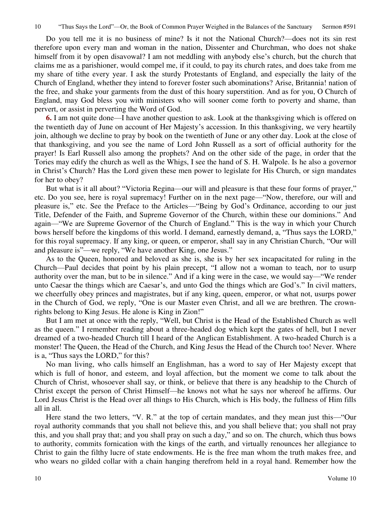Do you tell me it is no business of mine? Is it not the National Church?—does not its sin rest therefore upon every man and woman in the nation, Dissenter and Churchman, who does not shake himself from it by open disavowal? I am not meddling with anybody else's church, but the church that claims me as a parishioner, would compel me, if it could, to pay its church rates, and does take from me my share of tithe every year. I ask the sturdy Protestants of England, and especially the laity of the Church of England, whether they intend to forever foster such abominations? Arise, Britannia! nation of the free, and shake your garments from the dust of this hoary superstition. And as for you, O Church of England, may God bless you with ministers who will sooner come forth to poverty and shame, than pervert, or assist in perverting the Word of God.

**6.** I am not quite done—I have another question to ask. Look at the thanksgiving which is offered on the twentieth day of June on account of Her Majesty's accession. In this thanksgiving, we very heartily join, although we decline to pray by book on the twentieth of June or any other day. Look at the close of that thanksgiving, and you see the name of Lord John Russell as a sort of official authority for the prayer! Is Earl Russell also among the prophets? And on the other side of the page, in order that the Tories may edify the church as well as the Whigs, I see the hand of S. H. Walpole. Is he also a governor in Christ's Church? Has the Lord given these men power to legislate for His Church, or sign mandates for her to obey?

 But what is it all about? "Victoria Regina—our will and pleasure is that these four forms of prayer," etc. Do you see, here is royal supremacy! Further on in the next page—"Now, therefore, our will and pleasure is," etc. See the Preface to the Articles—"Being by God's Ordinance, according to our just Title, Defender of the Faith, and Supreme Governor of the Church, within these our dominions." And again—"We are Supreme Governor of the Church of England." This is the way in which your Church bows herself before the kingdoms of this world. I demand, earnestly demand, a, "Thus says the LORD," for this royal supremacy. If any king, or queen, or emperor, shall say in any Christian Church, "Our will and pleasure is"—we reply, "We have another King, one Jesus."

 As to the Queen, honored and beloved as she is, she is by her sex incapacitated for ruling in the Church—Paul decides that point by his plain precept, "I allow not a woman to teach, nor to usurp authority over the man, but to be in silence." And if a king were in the case, we would say—"We render unto Caesar the things which are Caesar's, and unto God the things which are God's." In civil matters, we cheerfully obey princes and magistrates, but if any king, queen, emperor, or what not, usurps power in the Church of God, we reply, "One is our Master even Christ, and all we are brethren. The crownrights belong to King Jesus. He alone is King in Zion!"

 But I am met at once with the reply, "Well, but Christ is the Head of the Established Church as well as the queen." I remember reading about a three-headed dog which kept the gates of hell, but I never dreamed of a two-headed Church till I heard of the Anglican Establishment. A two-headed Church is a monster! The Queen, the Head of the Church, and King Jesus the Head of the Church too! Never. Where is a, "Thus says the LORD," for this?

 No man living, who calls himself an Englishman, has a word to say of Her Majesty except that which is full of honor, and esteem, and loyal affection, but the moment we come to talk about the Church of Christ, whosoever shall say, or think, or believe that there is any headship to the Church of Christ except the person of Christ Himself—he knows not what he says nor whereof he affirms. Our Lord Jesus Christ is the Head over all things to His Church, which is His body, the fullness of Him fills all in all.

Here stand the two letters, "V. R." at the top of certain mandates, and they mean just this—"Our royal authority commands that you shall not believe this, and you shall believe that; you shall not pray this, and you shall pray that; and you shall pray on such a day," and so on. The church, which thus bows to authority, commits fornication with the kings of the earth, and virtually renounces her allegiance to Christ to gain the filthy lucre of state endowments. He is the free man whom the truth makes free, and who wears no gilded collar with a chain hanging therefrom held in a royal hand. Remember how the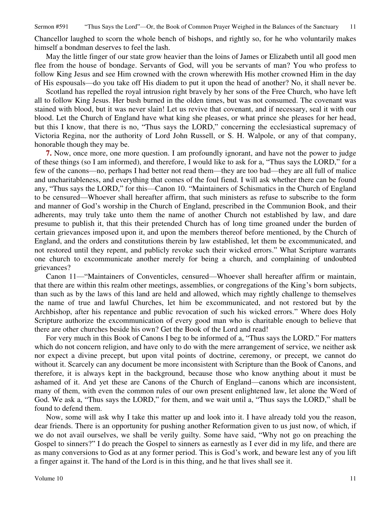Sermon #591 "Thus Says the Lord"—Or, the Book of Common Prayer Weighed in the Balances of the Sanctuary 11

Chancellor laughed to scorn the whole bench of bishops, and rightly so, for he who voluntarily makes himself a bondman deserves to feel the lash.

 May the little finger of our state grow heavier than the loins of James or Elizabeth until all good men flee from the house of bondage. Servants of God, will you be servants of man? You who profess to follow King Jesus and see Him crowned with the crown wherewith His mother crowned Him in the day of His espousals—do you take off His diadem to put it upon the head of another? No, it shall never be.

 Scotland has repelled the royal intrusion right bravely by her sons of the Free Church, who have left all to follow King Jesus. Her bush burned in the olden times, but was not consumed. The covenant was stained with blood, but it was never slain! Let us revive that covenant, and if necessary, seal it with our blood. Let the Church of England have what king she pleases, or what prince she pleases for her head, but this I know, that there is no, "Thus says the LORD," concerning the ecclesiastical supremacy of Victoria Regina, nor the authority of Lord John Russell, or S. H. Walpole, or any of that company, honorable though they may be.

**7.** Now, once more, one more question. I am profoundly ignorant, and have not the power to judge of these things (so I am informed), and therefore, I would like to ask for a, "Thus says the LORD," for a few of the canons—no, perhaps I had better not read them—they are too bad—they are all full of malice and uncharitableness, and everything that comes of the foul fiend. I will ask whether there can be found any, "Thus says the LORD," for this—Canon 10. "Maintainers of Schismatics in the Church of England to be censured—Whoever shall hereafter affirm, that such ministers as refuse to subscribe to the form and manner of God's worship in the Church of England, prescribed in the Communion Book, and their adherents, may truly take unto them the name of another Church not established by law, and dare presume to publish it, that this their pretended Church has of long time groaned under the burden of certain grievances imposed upon it, and upon the members thereof before mentioned, by the Church of England, and the orders and constitutions therein by law established, let them be excommunicated, and not restored until they repent, and publicly revoke such their wicked errors." What Scripture warrants one church to excommunicate another merely for being a church, and complaining of undoubted grievances?

 Canon 11—"Maintainers of Conventicles, censured—Whoever shall hereafter affirm or maintain, that there are within this realm other meetings, assemblies, or congregations of the King's born subjects, than such as by the laws of this land are held and allowed, which may rightly challenge to themselves the name of true and lawful Churches, let him be excommunicated, and not restored but by the Archbishop, after his repentance and public revocation of such his wicked errors." Where does Holy Scripture authorize the excommunication of every good man who is charitable enough to believe that there are other churches beside his own? Get the Book of the Lord and read!

 For very much in this Book of Canons I beg to be informed of a, "Thus says the LORD." For matters which do not concern religion, and have only to do with the mere arrangement of service, we neither ask nor expect a divine precept, but upon vital points of doctrine, ceremony, or precept, we cannot do without it. Scarcely can any document be more inconsistent with Scripture than the Book of Canons, and therefore, it is always kept in the background, because those who know anything about it must be ashamed of it. And yet these are Canons of the Church of England—canons which are inconsistent, many of them, with even the common rules of our own present enlightened law, let alone the Word of God. We ask a, "Thus says the LORD," for them, and we wait until a, "Thus says the LORD," shall be found to defend them.

 Now, some will ask why I take this matter up and look into it. I have already told you the reason, dear friends. There is an opportunity for pushing another Reformation given to us just now, of which, if we do not avail ourselves, we shall be verily guilty. Some have said, "Why not go on preaching the Gospel to sinners?" I do preach the Gospel to sinners as earnestly as I ever did in my life, and there are as many conversions to God as at any former period. This is God's work, and beware lest any of you lift a finger against it. The hand of the Lord is in this thing, and he that lives shall see it.